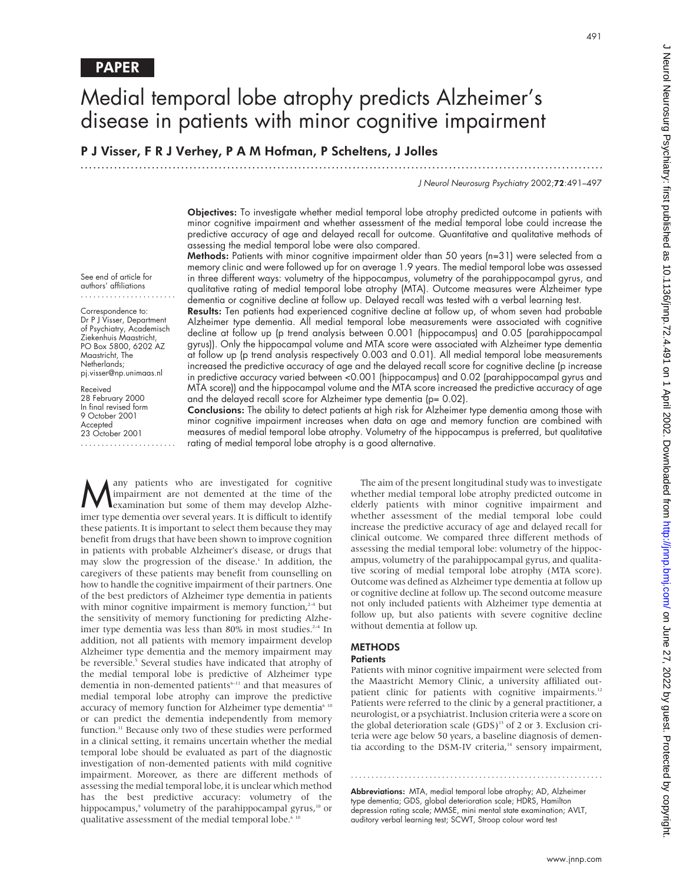See end of article for authors' affiliations

Correspondence to: Dr P J Visser, Department of Psychiatry, Academisch Ziekenhuis Maastricht, PO Box 5800, 6202 AZ Maastricht, The Netherlands; pj.visser@np.unimaas.nl

Received 28 February 2000 In final revised form 9 October 2001 Accepted 23 October 2001 .......................

# Medial temporal lobe atrophy predicts Alzheimer's disease in patients with minor cognitive impairment

P J Visser, F R J Verhey, P A M Hofman, P Scheltens, J Jolles

.............................................................................................................................

J Neurol Neurosurg Psychiatry 2002;72:491–497

491

Objectives: To investigate whether medial temporal lobe atrophy predicted outcome in patients with minor cognitive impairment and whether assessment of the medial temporal lobe could increase the predictive accuracy of age and delayed recall for outcome. Quantitative and qualitative methods of assessing the medial temporal lobe were also compared.

Methods: Patients with minor cognitive impairment older than 50 years (n=31) were selected from a memory clinic and were followed up for on average 1.9 years. The medial temporal lobe was assessed in three different ways: volumetry of the hippocampus, volumetry of the parahippocampal gyrus, and qualitative rating of medial temporal lobe atrophy (MTA). Outcome measures were Alzheimer type dementia or cognitive decline at follow up. Delayed recall was tested with a verbal learning test.

Results: Ten patients had experienced cognitive decline at follow up, of whom seven had probable Alzheimer type dementia. All medial temporal lobe measurements were associated with cognitive decline at follow up (p trend analysis between 0.001 (hippocampus) and 0.05 (parahippocampal gyrus)). Only the hippocampal volume and MTA score were associated with Alzheimer type dementia at follow up (p trend analysis respectively 0.003 and 0.01). All medial temporal lobe measurements increased the predictive accuracy of age and the delayed recall score for cognitive decline (p increase in predictive accuracy varied between <0.001 (hippocampus) and 0.02 (parahippocampal gyrus and MTA score)) and the hippocampal volume and the MTA score increased the predictive accuracy of age and the delayed recall score for Alzheimer type dementia (p= 0.02).

Conclusions: The ability to detect patients at high risk for Alzheimer type dementia among those with minor cognitive impairment increases when data on age and memory function are combined with measures of medial temporal lobe atrophy. Volumetry of the hippocampus is preferred, but qualitative rating of medial temporal lobe atrophy is a good alternative.

**Many** patients who are investigated for cognitive impairment are not demented at the time of the examination but some of them may develop Alzheimpairment are not demented at the time of the imer type dementia over several years. It is difficult to identify these patients. It is important to select them because they may benefit from drugs that have been shown to improve cognition in patients with probable Alzheimer's disease, or drugs that may slow the progression of the disease.<sup>1</sup> In addition, the caregivers of these patients may benefit from counselling on how to handle the cognitive impairment of their partners. One of the best predictors of Alzheimer type dementia in patients with minor cognitive impairment is memory function, $2-4$  but the sensitivity of memory functioning for predicting Alzheimer type dementia was less than 80% in most studies.<sup>2-4</sup> In addition, not all patients with memory impairment develop Alzheimer type dementia and the memory impairment may be reversible.<sup>5</sup> Several studies have indicated that atrophy of the medial temporal lobe is predictive of Alzheimer type dementia in non-demented patients<sup>6-11</sup> and that measures of medial temporal lobe atrophy can improve the predictive accuracy of memory function for Alzheimer type dementia<sup>6 10</sup> or can predict the dementia independently from memory function.<sup>11</sup> Because only two of these studies were performed in a clinical setting, it remains uncertain whether the medial temporal lobe should be evaluated as part of the diagnostic investigation of non-demented patients with mild cognitive impairment. Moreover, as there are different methods of assessing the medial temporal lobe, it is unclear which method has the best predictive accuracy: volumetry of the hippocampus,<sup>9</sup> volumetry of the parahippocampal gyrus,<sup>10</sup> or qualitative assessment of the medial temporal lobe.<sup>6</sup>

The aim of the present longitudinal study was to investigate whether medial temporal lobe atrophy predicted outcome in elderly patients with minor cognitive impairment and whether assessment of the medial temporal lobe could increase the predictive accuracy of age and delayed recall for clinical outcome. We compared three different methods of assessing the medial temporal lobe: volumetry of the hippocampus, volumetry of the parahippocampal gyrus, and qualitative scoring of medial temporal lobe atrophy (MTA score). Outcome was defined as Alzheimer type dementia at follow up or cognitive decline at follow up. The second outcome measure not only included patients with Alzheimer type dementia at follow up, but also patients with severe cognitive decline without dementia at follow up.

## **METHODS**

# **Patients**

Patients with minor cognitive impairment were selected from the Maastricht Memory Clinic, a university affiliated outpatient clinic for patients with cognitive impairments.<sup>12</sup> Patients were referred to the clinic by a general practitioner, a neurologist, or a psychiatrist. Inclusion criteria were a score on the global deterioration scale  $(GDS)^{13}$  of 2 or 3. Exclusion criteria were age below 50 years, a baseline diagnosis of dementia according to the DSM-IV criteria,<sup>14</sup> sensory impairment,

.............................................................

Abbreviations: MTA, medial temporal lobe atrophy; AD, Alzheimer type dementia; GDS, global deterioration scale; HDRS, Hamilton depression rating scale; MMSE, mini mental state examination; AVLT, auditory verbal learning test; SCWT, Stroop colour word test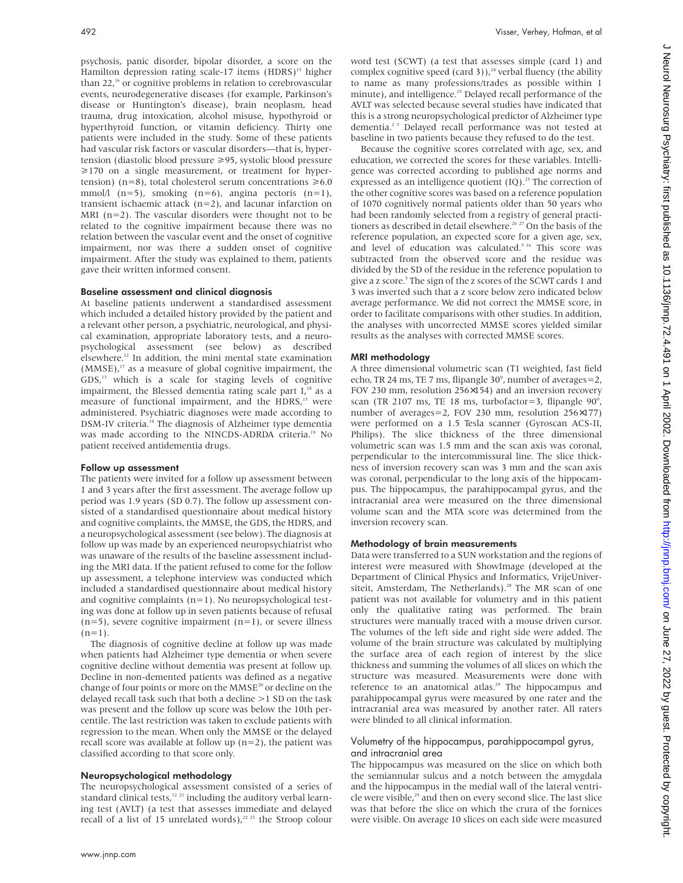psychosis, panic disorder, bipolar disorder, a score on the Hamilton depression rating scale-17 items  $(HDRS)^{15}$  higher than 22,<sup>16</sup> or cognitive problems in relation to cerebrovascular events, neurodegenerative diseases (for example, Parkinson's disease or Huntington's disease), brain neoplasm, head trauma, drug intoxication, alcohol misuse, hypothyroid or hyperthyroid function, or vitamin deficiency. Thirty one patients were included in the study. Some of these patients had vascular risk factors or vascular disorders—that is, hypertension (diastolic blood pressure >95, systolic blood pressure  $\geq$ 170 on a single measurement, or treatment for hypertension) (n=8), total cholesterol serum concentrations  $\geq 6.0$ mmol/l  $(n=5)$ , smoking  $(n=6)$ , angina pectoris  $(n=1)$ , transient ischaemic attack (n=2), and lacunar infarction on MRI  $(n=2)$ . The vascular disorders were thought not to be related to the cognitive impairment because there was no relation between the vascular event and the onset of cognitive impairment, nor was there a sudden onset of cognitive impairment. After the study was explained to them, patients gave their written informed consent.

## Baseline assessment and clinical diagnosis

At baseline patients underwent a standardised assessment which included a detailed history provided by the patient and a relevant other person, a psychiatric, neurological, and physical examination, appropriate laboratory tests, and a neuropsychological assessment (see below) as described elsewhere.12 In addition, the mini mental state examination  $(MMSE)$ ,<sup>17</sup> as a measure of global cognitive impairment, the GDS,13 which is a scale for staging levels of cognitive impairment, the Blessed dementia rating scale part I,<sup>18</sup> as a measure of functional impairment, and the HDRS,<sup>15</sup> were administered. Psychiatric diagnoses were made according to DSM-IV criteria.<sup>14</sup> The diagnosis of Alzheimer type dementia was made according to the NINCDS-ADRDA criteria.<sup>19</sup> No patient received antidementia drugs.

### Follow up assessment

The patients were invited for a follow up assessment between 1 and 3 years after the first assessment. The average follow up period was 1.9 years (SD 0.7). The follow up assessment consisted of a standardised questionnaire about medical history and cognitive complaints, the MMSE, the GDS, the HDRS, and a neuropsychological assessment (see below). The diagnosis at follow up was made by an experienced neuropsychiatrist who was unaware of the results of the baseline assessment including the MRI data. If the patient refused to come for the follow up assessment, a telephone interview was conducted which included a standardised questionnaire about medical history and cognitive complaints (n=1). No neuropsychological testing was done at follow up in seven patients because of refusal  $(n=5)$ , severe cognitive impairment  $(n=1)$ , or severe illness  $(n=1)$ .

The diagnosis of cognitive decline at follow up was made when patients had Alzheimer type dementia or when severe cognitive decline without dementia was present at follow up. Decline in non-demented patients was defined as a negative change of four points or more on the  $MMSE^{20}$  or decline on the delayed recall task such that both a decline >1 SD on the task was present and the follow up score was below the 10th percentile. The last restriction was taken to exclude patients with regression to the mean. When only the MMSE or the delayed recall score was available at follow up  $(n=2)$ , the patient was classified according to that score only.

### Neuropsychological methodology

The neuropsychological assessment consisted of a series of standard clinical tests,<sup>12 21</sup> including the auditory verbal learning test (AVLT) (a test that assesses immediate and delayed recall of a list of 15 unrelated words),<sup>22 23</sup> the Stroop colour

word test (SCWT) (a test that assesses simple (card 1) and complex cognitive speed (card 3)),<sup>24</sup> verbal fluency (the ability to name as many professions/trades as possible within 1 minute), and intelligence.<sup>25</sup> Delayed recall performance of the AVLT was selected because several studies have indicated that this is a strong neuropsychological predictor of Alzheimer type dementia.<sup>23</sup> Delayed recall performance was not tested at baseline in two patients because they refused to do the test.

Because the cognitive scores correlated with age, sex, and education, we corrected the scores for these variables. Intelligence was corrected according to published age norms and expressed as an intelligence quotient  $(IQ)$ .<sup>25</sup> The correction of the other cognitive scores was based on a reference population of 1070 cognitively normal patients older than 50 years who had been randomly selected from a registry of general practitioners as described in detail elsewhere.<sup>26 27</sup> On the basis of the reference population, an expected score for a given age, sex, and level of education was calculated.<sup>5 16</sup> This score was subtracted from the observed score and the residue was divided by the SD of the residue in the reference population to give a z score.<sup>5</sup> The sign of the z scores of the SCWT cards 1 and 3 was inverted such that a z score below zero indicated below average performance. We did not correct the MMSE score, in order to facilitate comparisons with other studies. In addition, the analyses with uncorrected MMSE scores yielded similar results as the analyses with corrected MMSE scores.

### MRI methodology

A three dimensional volumetric scan (T1 weighted, fast field echo, TR 24 ms, TE 7 ms, flipangle 30°, number of averages=2, FOV 230 mm, resolution 256×154) and an inversion recovery scan (TR 2107 ms, TE 18 ms, turbofactor=3, flipangle 90°, number of averages=2, FOV 230 mm, resolution 256×177) were performed on a 1.5 Tesla scanner (Gyroscan ACS-II, Philips). The slice thickness of the three dimensional volumetric scan was 1.5 mm and the scan axis was coronal, perpendicular to the intercommissural line. The slice thickness of inversion recovery scan was 3 mm and the scan axis was coronal, perpendicular to the long axis of the hippocampus. The hippocampus, the parahippocampal gyrus, and the intracranial area were measured on the three dimensional volume scan and the MTA score was determined from the inversion recovery scan.

### Methodology of brain measurements

Data were transferred to a SUN workstation and the regions of interest were measured with ShowImage (developed at the Department of Clinical Physics and Informatics, VrijeUniversiteit, Amsterdam, The Netherlands).<sup>28</sup> The MR scan of one patient was not available for volumetry and in this patient only the qualitative rating was performed. The brain structures were manually traced with a mouse driven cursor. The volumes of the left side and right side were added. The volume of the brain structure was calculated by multiplying the surface area of each region of interest by the slice thickness and summing the volumes of all slices on which the structure was measured. Measurements were done with reference to an anatomical atlas.<sup>29</sup> The hippocampus and parahippocampal gyrus were measured by one rater and the intracranial area was measured by another rater. All raters were blinded to all clinical information.

## Volumetry of the hippocampus, parahippocampal gyrus, and intracranial area

The hippocampus was measured on the slice on which both the semiannular sulcus and a notch between the amygdala and the hippocampus in the medial wall of the lateral ventricle were visible,<sup>29</sup> and then on every second slice. The last slice was that before the slice on which the crura of the fornices were visible. On average 10 slices on each side were measured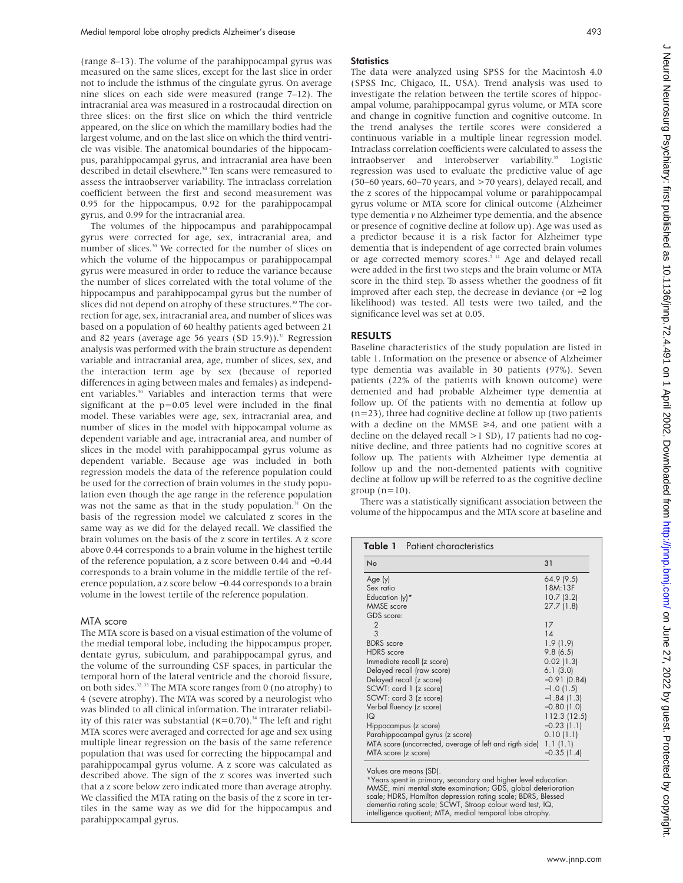(range 8–13). The volume of the parahippocampal gyrus was measured on the same slices, except for the last slice in order not to include the isthmus of the cingulate gyrus. On average nine slices on each side were measured (range 7–12). The intracranial area was measured in a rostrocaudal direction on three slices: on the first slice on which the third ventricle appeared, on the slice on which the mamillary bodies had the largest volume, and on the last slice on which the third ventricle was visible. The anatomical boundaries of the hippocampus, parahippocampal gyrus, and intracranial area have been described in detail elsewhere.<sup>30</sup> Ten scans were remeasured to assess the intraobserver variability. The intraclass correlation coefficient between the first and second measurement was 0.95 for the hippocampus, 0.92 for the parahippocampal gyrus, and 0.99 for the intracranial area.

The volumes of the hippocampus and parahippocampal gyrus were corrected for age, sex, intracranial area, and number of slices.<sup>30</sup> We corrected for the number of slices on which the volume of the hippocampus or parahippocampal gyrus were measured in order to reduce the variance because the number of slices correlated with the total volume of the hippocampus and parahippocampal gyrus but the number of slices did not depend on atrophy of these structures.<sup>30</sup> The correction for age, sex, intracranial area, and number of slices was based on a population of 60 healthy patients aged between 21 and 82 years (average age 56 years (SD 15.9)).<sup>31</sup> Regression analysis was performed with the brain structure as dependent variable and intracranial area, age, number of slices, sex, and the interaction term age by sex (because of reported differences in aging between males and females) as independent variables.<sup>30</sup> Variables and interaction terms that were significant at the p=0.05 level were included in the final model. These variables were age, sex, intracranial area, and number of slices in the model with hippocampal volume as dependent variable and age, intracranial area, and number of slices in the model with parahippocampal gyrus volume as dependent variable. Because age was included in both regression models the data of the reference population could be used for the correction of brain volumes in the study population even though the age range in the reference population was not the same as that in the study population. $31$  On the basis of the regression model we calculated z scores in the same way as we did for the delayed recall. We classified the brain volumes on the basis of the z score in tertiles. A z score above 0.44 corresponds to a brain volume in the highest tertile of the reference population, a z score between 0.44 and −0.44 corresponds to a brain volume in the middle tertile of the reference population, a z score below −0.44 corresponds to a brain volume in the lowest tertile of the reference population.

## MTA score

The MTA score is based on a visual estimation of the volume of the medial temporal lobe, including the hippocampus proper, dentate gyrus, subiculum, and parahippocampal gyrus, and the volume of the surrounding CSF spaces, in particular the temporal horn of the lateral ventricle and the choroid fissure, on both sides.32 33 The MTA score ranges from 0 (no atrophy) to 4 (severe atrophy). The MTA was scored by a neurologist who was blinded to all clinical information. The intrarater reliability of this rater was substantial ( $\kappa$ =0.70).<sup>34</sup> The left and right MTA scores were averaged and corrected for age and sex using multiple linear regression on the basis of the same reference population that was used for correcting the hippocampal and parahippocampal gyrus volume. A z score was calculated as described above. The sign of the z scores was inverted such that a z score below zero indicated more than average atrophy. We classified the MTA rating on the basis of the z score in tertiles in the same way as we did for the hippocampus and parahippocampal gyrus.

## **Statistics**

The data were analyzed using SPSS for the Macintosh 4.0 (SPSS Inc, Chigaco, IL, USA). Trend analysis was used to investigate the relation between the tertile scores of hippocampal volume, parahippocampal gyrus volume, or MTA score and change in cognitive function and cognitive outcome. In the trend analyses the tertile scores were considered a continuous variable in a multiple linear regression model. Intraclass correlation coefficients were calculated to assess the intraobserver and interobserver variability.<sup>35</sup> Logistic regression was used to evaluate the predictive value of age (50–60 years, 60–70 years, and >70 years), delayed recall, and the z scores of the hippocampal volume or parahippocampal gyrus volume or MTA score for clinical outcome (Alzheimer type dementia *v* no Alzheimer type dementia, and the absence or presence of cognitive decline at follow up). Age was used as a predictor because it is a risk factor for Alzheimer type dementia that is independent of age corrected brain volumes or age corrected memory scores.<sup>5 11</sup> Age and delayed recall were added in the first two steps and the brain volume or MTA score in the third step. To assess whether the goodness of fit improved after each step, the decrease in deviance (or −2 log likelihood) was tested. All tests were two tailed, and the significance level was set at 0.05.

# RESULTS

Baseline characteristics of the study population are listed in table 1. Information on the presence or absence of Alzheimer type dementia was available in 30 patients (97%). Seven patients (22% of the patients with known outcome) were demented and had probable Alzheimer type dementia at follow up. Of the patients with no dementia at follow up  $(n=23)$ , three had cognitive decline at follow up (two patients with a decline on the MMSE  $\geq 4$ , and one patient with a decline on the delayed recall >1 SD), 17 patients had no cognitive decline, and three patients had no cognitive scores at follow up. The patients with Alzheimer type dementia at follow up and the non-demented patients with cognitive decline at follow up will be referred to as the cognitive decline group  $(n=10)$ .

There was a statistically significant association between the volume of the hippocampus and the MTA score at baseline and

|                |    | <b>Table 1</b> Patient characteristics                            |                                 |
|----------------|----|-------------------------------------------------------------------|---------------------------------|
|                | 31 |                                                                   | No                              |
| 64.9(9.5)      |    |                                                                   | Age (y)                         |
| 18M:13F        |    |                                                                   | Sex ratio                       |
| 10.7(3.2)      |    |                                                                   | Education (y)*                  |
| 27.7 (1.8)     |    |                                                                   | MMSE score                      |
|                |    |                                                                   | GDS score:                      |
|                | 17 |                                                                   | $\overline{2}$                  |
|                | 14 |                                                                   | 3                               |
| 1.9(1.9)       |    |                                                                   | <b>BDRS</b> score               |
| 9.8(6.5)       |    |                                                                   | <b>HDRS</b> score               |
| 0.02(1.3)      |    |                                                                   | Immediate recall (z score)      |
| 6.1(3.0)       |    |                                                                   | Delayed recall (raw score)      |
| $-0.91$ (0.84) |    |                                                                   | Delayed recall (z score)        |
| $-1.0$ (1.5)   |    |                                                                   | SCWT: card 1 (z score)          |
| $-1.84(1.3)$   |    |                                                                   | SCWT: card 3 (z score)          |
| $-0.80$ (1.0)  |    |                                                                   | Verbal fluency (z score)        |
| 112.3 (12.5)   |    |                                                                   | IQ                              |
| $-0.23(1.1)$   |    |                                                                   | Hippocampus (z score)           |
| 0.10(1.1)      |    |                                                                   | Parahippocampal gyrus (z score) |
|                |    | MTA score (uncorrected, average of left and rigth side) 1.1 (1.1) |                                 |
| $-0.35(1.4)$   |    |                                                                   | MTA score (z score)             |
|                |    |                                                                   | Values are means (SD).          |

\*Years spent in primary, secondary and higher level education. MMSE, mini mental state examination; GDS, global deterioration scale; HDRS, Hamilton depression rating scale; BDRS, Blessed dementia rating scale; SCWT, Stroop colour word test, IQ, intelligence quotient; MTA, medial temporal lobe atrophy.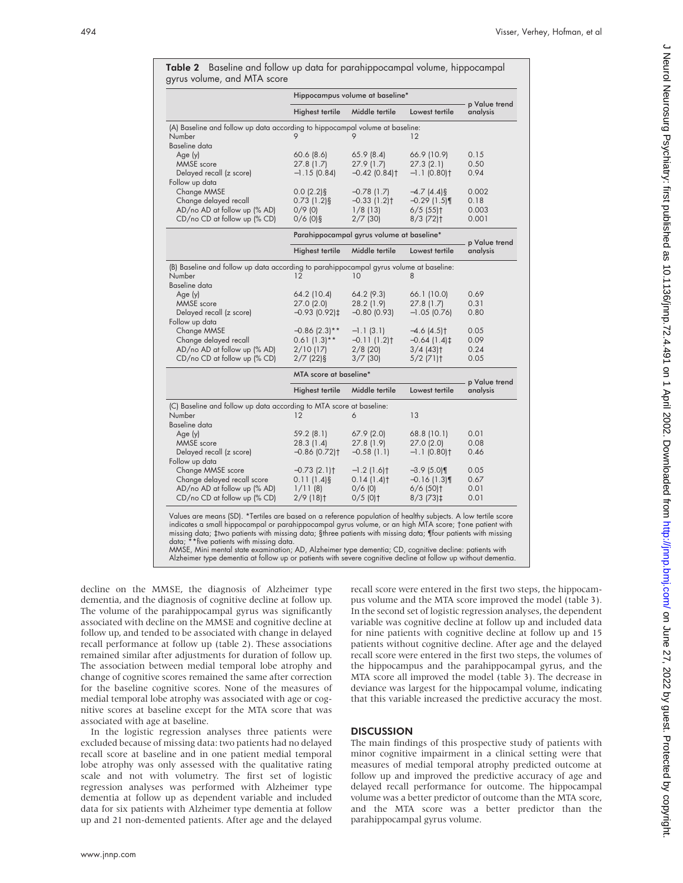|                                                                                                                                    | Hippocampus volume at baseline*                                                   |                                                                    |                                                                                      |                                 |  |
|------------------------------------------------------------------------------------------------------------------------------------|-----------------------------------------------------------------------------------|--------------------------------------------------------------------|--------------------------------------------------------------------------------------|---------------------------------|--|
|                                                                                                                                    | Highest tertile                                                                   | Middle tertile                                                     | Lowest tertile                                                                       | p Value trend<br>analysis       |  |
| (A) Baseline and follow up data according to hippocampal volume at baseline:<br>Number<br>Baseline data                            | 9                                                                                 | 9                                                                  | $12 \overline{ }$                                                                    |                                 |  |
| Age (y)<br>MMSE score<br>Delayed recall (z score)                                                                                  | $60.6$ $(8.6)$<br>27.8(1.7)<br>$-1.15(0.84)$                                      | 65.9(8.4)<br>27.9(1.7)<br>$-0.42$ (0.84) <sup>+</sup>              | 66.9 (10.9)<br>27.3(2.1)<br>$-1.1$ (0.80) <sup>†</sup>                               | 0.15<br>0.50<br>0.94            |  |
| Follow up data<br>Change MMSE<br>Change delayed recall<br>AD/no AD at follow up (% AD)<br>CD/no CD at follow up (% CD)             | $0.0(2.2)\$<br>$0.73(1.2)$ §<br>$0/9$ (0)<br>$0/6$ (0)§                           | $-0.78$ (1.7)<br>$-0.33(1.2)$ †<br>$1/8$ (13)<br>$2/7$ (30)        | $-4.7(4.4)$ §<br>$-0.29$ (1.5)<br>$6/5$ (55) <sup>+</sup><br>$8/3$ (72) <sup>+</sup> | 0.002<br>0.18<br>0.003<br>0.001 |  |
|                                                                                                                                    |                                                                                   | Parahippocampal gyrus volume at baseline*                          |                                                                                      |                                 |  |
|                                                                                                                                    | <b>Highest tertile</b>                                                            | Middle tertile                                                     | Lowest tertile                                                                       | p Value trend<br>analysis       |  |
| (B) Baseline and follow up data according to parahippocampal gyrus volume at baseline:<br>Number<br>Baseline data                  | 12                                                                                | 10                                                                 | 8                                                                                    |                                 |  |
| Age (y)<br><b>MMSE</b> score<br>Delayed recall (z score)<br>Follow up data                                                         | 64.2 (10.4)<br>27.0(2.0)<br>$-0.93$ (0.92) $\ddagger$                             | $64.2$ (9.3)<br>28.2 (1.9)<br>$-0.80$ (0.93)                       | 66.1 (10.0)<br>27.8(1.7)<br>$-1.05$ (0.76)                                           | 0.69<br>0.31<br>0.80            |  |
| Change MMSE<br>Change delayed recall<br>AD/no AD at follow up (% AD)<br>CD/no CD at follow up (% CD)                               | $-0.86$ (2.3)**<br>$0.61(1.3)$ **<br>$2/10$ (17)<br>$2/7$ (22)§                   | $-1.1(3.1)$<br>$-0.11(1.2)$ t<br>$2/8$ (20)<br>$3/7$ (30)          | $-4.6(4.5)$<br>$-0.64(1.4)$<br>$3/4$ (43) <sup>†</sup><br>$5/2$ (71) <sup>+</sup>    | 0.05<br>0.09<br>0.24<br>0.05    |  |
|                                                                                                                                    | MTA score at baseline*                                                            |                                                                    |                                                                                      | p Value trend                   |  |
|                                                                                                                                    | <b>Highest tertile</b>                                                            | Middle tertile                                                     | Lowest tertile                                                                       | analysis                        |  |
| (C) Baseline and follow up data according to MTA score at baseline:<br>Number<br>Baseline data                                     | 12                                                                                | 6                                                                  | 13                                                                                   |                                 |  |
| Age (y)<br><b>MMSE</b> score<br>Delayed recall (z score)                                                                           | 59.2(8.1)<br>28.3(1.4)<br>$-0.86$ (0.72) <sup>+</sup>                             | 67.9(2.0)<br>27.8(1.9)<br>$-0.58(1.1)$                             | 68.8(10.1)<br>27.0(2.0)<br>$-1.1$ (0.80) <sup>†</sup>                                | 0.01<br>0.08<br>0.46            |  |
| Follow up data<br>Change MMSE score<br>Change delayed recall score<br>AD/no AD at follow up (% AD)<br>CD/no CD at follow up (% CD) | $-0.73$ (2.1) <sup>+</sup><br>$0.11(1.4)$ §<br>1/11(8)<br>$2/9$ (18) <sup>+</sup> | $-1.2$ (1.6) <sup>†</sup><br>0.14(1.4)<br>$0/6$ (0)<br>$0/5$ (0) † | $-3.9$ (5.0)<br>$-0.16(1.3)$<br>$6/6$ (50) <sup>+</sup><br>$8/3$ (73) $\ddagger$     | 0.05<br>0.67<br>0.01<br>0.01    |  |

Table 2 Baseline and follow up data for parahippocampal volume, hippocampal gyrus volume, and MTA score

Values are means (SD). \*Tertiles are based on a reference population of healthy subjects. A low tertile score indicates a small hippocampal or parahippocampal gyrus volume, or an high MTA score; †one patient with missing data; ‡two patients with missing data; §three patients with missing data; ¶four patients with missing data; \*\*five patients with missing data.

MMSE, Mini mental state examination; AD, Alzheimer type dementia; CD, cognitive decline: patients with Alzheimer type dementia at follow up or patients with severe cognitive decline at follow up without dementia.

decline on the MMSE, the diagnosis of Alzheimer type dementia, and the diagnosis of cognitive decline at follow up. The volume of the parahippocampal gyrus was significantly associated with decline on the MMSE and cognitive decline at follow up, and tended to be associated with change in delayed recall performance at follow up (table 2). These associations remained similar after adjustments for duration of follow up. The association between medial temporal lobe atrophy and change of cognitive scores remained the same after correction for the baseline cognitive scores. None of the measures of medial temporal lobe atrophy was associated with age or cognitive scores at baseline except for the MTA score that was associated with age at baseline.

In the logistic regression analyses three patients were excluded because of missing data: two patients had no delayed recall score at baseline and in one patient medial temporal lobe atrophy was only assessed with the qualitative rating scale and not with volumetry. The first set of logistic regression analyses was performed with Alzheimer type dementia at follow up as dependent variable and included data for six patients with Alzheimer type dementia at follow up and 21 non-demented patients. After age and the delayed

recall score were entered in the first two steps, the hippocampus volume and the MTA score improved the model (table 3). In the second set of logistic regression analyses, the dependent variable was cognitive decline at follow up and included data for nine patients with cognitive decline at follow up and 15 patients without cognitive decline. After age and the delayed recall score were entered in the first two steps, the volumes of the hippocampus and the parahippocampal gyrus, and the MTA score all improved the model (table 3). The decrease in deviance was largest for the hippocampal volume, indicating that this variable increased the predictive accuracy the most.

# DISCUSSION

The main findings of this prospective study of patients with minor cognitive impairment in a clinical setting were that measures of medial temporal atrophy predicted outcome at follow up and improved the predictive accuracy of age and delayed recall performance for outcome. The hippocampal volume was a better predictor of outcome than the MTA score, and the MTA score was a better predictor than the parahippocampal gyrus volume.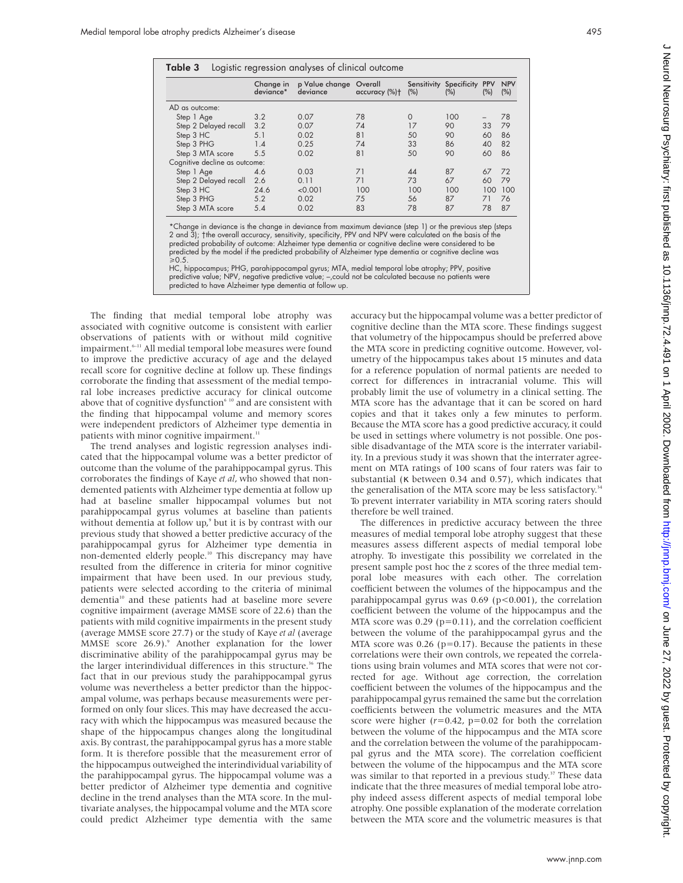| Logistic regression analyses of clinical outcome<br>Table 3 |           |                                              |               |          |                                   |                   |                   |  |  |
|-------------------------------------------------------------|-----------|----------------------------------------------|---------------|----------|-----------------------------------|-------------------|-------------------|--|--|
|                                                             | deviance* | Change in p Value change Overall<br>deviance | accuracy (%)+ | (% )     | Sensitivity Specificity<br>$(\%)$ | <b>PPV</b><br>(%) | <b>NPV</b><br>(%) |  |  |
| AD as outcome:                                              |           |                                              |               |          |                                   |                   |                   |  |  |
| Step 1 Age                                                  | 3.2       | 0.07                                         | 78            | $\Omega$ | 100                               |                   | 78                |  |  |
| Step 2 Delayed recall                                       | 3.2       | 0.07                                         | 74            | 17       | 90                                | 33                | 79                |  |  |
| Step 3 HC                                                   | 5.1       | 0.02                                         | 81            | 50       | 90                                | 60                | 86                |  |  |
| Step 3 PHG                                                  | 1.4       | 0.25                                         | 74            | 33       | 86                                | 40                | 82                |  |  |
| Step 3 MTA score                                            | 5.5       | 0.02                                         | 81            | 50       | 90                                | 60                | 86                |  |  |
| Cognitive decline as outcome:                               |           |                                              |               |          |                                   |                   |                   |  |  |
| Step 1 Age                                                  | 4.6       | 0.03                                         | 71            | 44       | 87                                | 67                | 72                |  |  |
| Step 2 Delayed recall                                       | 2.6       | 0.11                                         | 71            | 73       | 67                                | 60                | 79                |  |  |
| Step 3 HC                                                   | 24.6      | < 0.001                                      | 100           | 100      | 100                               | 100               | 100               |  |  |
| Step 3 PHG                                                  | 5.2       | 0.02                                         | 75            | 56       | 87                                | 71                | 76                |  |  |
| Step 3 MTA score                                            | 5.4       | 0.02                                         | 83            | 78       | 87                                | 78                | 87                |  |  |

\*Change in deviance is the change in deviance from maximum deviance (step 1) or the previous step (steps 2 and 3); †the overall accuracy, sensitivity, specificity, PPV and NPV were calculated on the basis of the predicted probability of outcome: Alzheimer type dementia or cognitive decline were considered to be predicted by the model if the predicted probability of Alzheimer type dementia or cognitive decline was  $\ge 0.5$ .

HC, hippocampus; PHG, parahippocampal gyrus; MTA, medial temporal lobe atrophy; PPV, positive predictive value; NPV, negative predictive value; –,could not be calculated because no patients were predicted to have Alzheimer type dementia at follow up.

The finding that medial temporal lobe atrophy was associated with cognitive outcome is consistent with earlier observations of patients with or without mild cognitive impairment.<sup>6-11</sup> All medial temporal lobe measures were found to improve the predictive accuracy of age and the delayed recall score for cognitive decline at follow up. These findings corroborate the finding that assessment of the medial temporal lobe increases predictive accuracy for clinical outcome above that of cognitive dysfunction<sup>6 10</sup> and are consistent with the finding that hippocampal volume and memory scores were independent predictors of Alzheimer type dementia in patients with minor cognitive impairment.<sup>11</sup>

The trend analyses and logistic regression analyses indicated that the hippocampal volume was a better predictor of outcome than the volume of the parahippocampal gyrus. This corroborates the findings of Kaye *et al*, who showed that nondemented patients with Alzheimer type dementia at follow up had at baseline smaller hippocampal volumes but not parahippocampal gyrus volumes at baseline than patients without dementia at follow up,<sup>9</sup> but it is by contrast with our previous study that showed a better predictive accuracy of the parahippocampal gyrus for Alzheimer type dementia in non-demented elderly people.10 This discrepancy may have resulted from the difference in criteria for minor cognitive impairment that have been used. In our previous study, patients were selected according to the criteria of minimal dementia<sup>10</sup> and these patients had at baseline more severe cognitive impairment (average MMSE score of 22.6) than the patients with mild cognitive impairments in the present study (average MMSE score 27.7) or the study of Kaye *et al* (average MMSE score 26.9).<sup>9</sup> Another explanation for the lower discriminative ability of the parahippocampal gyrus may be the larger interindividual differences in this structure.<sup>36</sup> The fact that in our previous study the parahippocampal gyrus volume was nevertheless a better predictor than the hippocampal volume, was perhaps because measurements were performed on only four slices. This may have decreased the accuracy with which the hippocampus was measured because the shape of the hippocampus changes along the longitudinal axis. By contrast, the parahippocampal gyrus has a more stable form. It is therefore possible that the measurement error of the hippocampus outweighed the interindividual variability of the parahippocampal gyrus. The hippocampal volume was a better predictor of Alzheimer type dementia and cognitive decline in the trend analyses than the MTA score. In the multivariate analyses, the hippocampal volume and the MTA score could predict Alzheimer type dementia with the same

accuracy but the hippocampal volume was a better predictor of cognitive decline than the MTA score. These findings suggest that volumetry of the hippocampus should be preferred above the MTA score in predicting cognitive outcome. However, volumetry of the hippocampus takes about 15 minutes and data for a reference population of normal patients are needed to correct for differences in intracranial volume. This will probably limit the use of volumetry in a clinical setting. The MTA score has the advantage that it can be scored on hard copies and that it takes only a few minutes to perform. Because the MTA score has a good predictive accuracy, it could be used in settings where volumetry is not possible. One possible disadvantage of the MTA score is the interrater variability. In a previous study it was shown that the interrater agreement on MTA ratings of 100 scans of four raters was fair to substantial (κ between 0.34 and 0.57), which indicates that the generalisation of the MTA score may be less satisfactory.<sup>34</sup> To prevent interrater variability in MTA scoring raters should therefore be well trained.

The differences in predictive accuracy between the three measures of medial temporal lobe atrophy suggest that these measures assess different aspects of medial temporal lobe atrophy. To investigate this possibility we correlated in the present sample post hoc the z scores of the three medial temporal lobe measures with each other. The correlation coefficient between the volumes of the hippocampus and the parahippocampal gyrus was  $0.69$  (p<0.001), the correlation coefficient between the volume of the hippocampus and the MTA score was  $0.29$  ( $p=0.11$ ), and the correlation coefficient between the volume of the parahippocampal gyrus and the MTA score was  $0.26$  (p=0.17). Because the patients in these correlations were their own controls, we repeated the correlations using brain volumes and MTA scores that were not corrected for age. Without age correction, the correlation coefficient between the volumes of the hippocampus and the parahippocampal gyrus remained the same but the correlation coefficients between the volumetric measures and the MTA score were higher  $(r=0.42, p=0.02)$  for both the correlation between the volume of the hippocampus and the MTA score and the correlation between the volume of the parahippocampal gyrus and the MTA score). The correlation coefficient between the volume of the hippocampus and the MTA score was similar to that reported in a previous study.<sup>37</sup> These data indicate that the three measures of medial temporal lobe atrophy indeed assess different aspects of medial temporal lobe atrophy. One possible explanation of the moderate correlation between the MTA score and the volumetric measures is that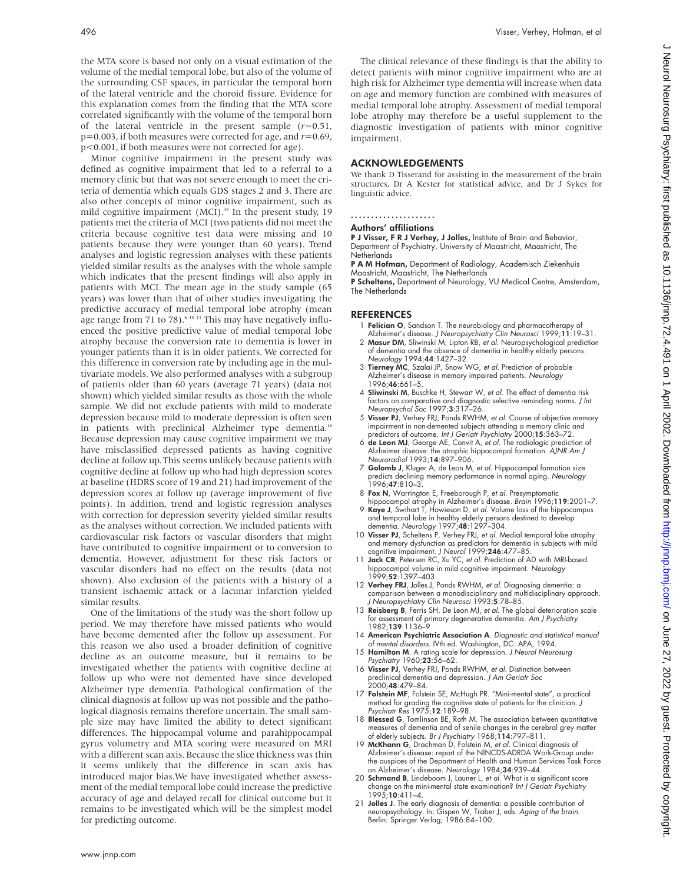the MTA score is based not only on a visual estimation of the volume of the medial temporal lobe, but also of the volume of the surrounding CSF spaces, in particular the temporal horn of the lateral ventricle and the choroid fissure. Evidence for this explanation comes from the finding that the MTA score correlated significantly with the volume of the temporal horn of the lateral ventricle in the present sample (*r*=0.51, p=0.003, if both measures were corrected for age, and *r*=0.69, p<0.001, if both measures were not corrected for age).

Minor cognitive impairment in the present study was defined as cognitive impairment that led to a referral to a memory clinic but that was not severe enough to meet the criteria of dementia which equals GDS stages 2 and 3. There are also other concepts of minor cognitive impairment, such as mild cognitive impairment (MCI).<sup>38</sup> In the present study, 19 patients met the criteria of MCI (two patients did not meet the criteria because cognitive test data were missing and 10 patients because they were younger than 60 years). Trend analyses and logistic regression analyses with these patients yielded similar results as the analyses with the whole sample which indicates that the present findings will also apply in patients with MCI. The mean age in the study sample (65 years) was lower than that of other studies investigating the predictive accuracy of medial temporal lobe atrophy (mean age range from 71 to 78).<sup> $61011$ </sup> This may have negatively influenced the positive predictive value of medial temporal lobe atrophy because the conversion rate to dementia is lower in younger patients than it is in older patients. We corrected for this difference in conversion rate by including age in the multivariate models. We also performed analyses with a subgroup of patients older than 60 years (average 71 years) (data not shown) which yielded similar results as those with the whole sample. We did not exclude patients with mild to moderate depression because mild to moderate depression is often seen in patients with preclinical Alzheimer type dementia.<sup>16</sup> Because depression may cause cognitive impairment we may have misclassified depressed patients as having cognitive decline at follow up. This seems unlikely because patients with cognitive decline at follow up who had high depression scores at baseline (HDRS score of 19 and 21) had improvement of the depression scores at follow up (average improvement of five points). In addition, trend and logistic regression analyses with correction for depression severity yielded similar results as the analyses without correction. We included patients with cardiovascular risk factors or vascular disorders that might have contributed to cognitive impairment or to conversion to dementia. However, adjustment for these risk factors or vascular disorders had no effect on the results (data not shown). Also exclusion of the patients with a history of a transient ischaemic attack or a lacunar infarction yielded similar results.

One of the limitations of the study was the short follow up period. We may therefore have missed patients who would have become demented after the follow up assessment. For this reason we also used a broader definition of cognitive decline as an outcome measure, but it remains to be investigated whether the patients with cognitive decline at follow up who were not demented have since developed Alzheimer type dementia. Pathological confirmation of the clinical diagnosis at follow up was not possible and the pathological diagnosis remains therefore uncertain. The small sample size may have limited the ability to detect significant differences. The hippocampal volume and parahippocampal gyrus volumetry and MTA scoring were measured on MRI with a different scan axis. Because the slice thickness was thin it seems unlikely that the difference in scan axis has introduced major bias.We have investigated whether assessment of the medial temporal lobe could increase the predictive accuracy of age and delayed recall for clinical outcome but it remains to be investigated which will be the simplest model for predicting outcome.

The clinical relevance of these findings is that the ability to detect patients with minor cognitive impairment who are at high risk for Alzheimer type dementia will increase when data on age and memory function are combined with measures of medial temporal lobe atrophy. Assessment of medial temporal lobe atrophy may therefore be a useful supplement to the diagnostic investigation of patients with minor cognitive impairment.

## ACKNOWLEDGEMENTS

We thank D Tisserand for assisting in the measurement of the brain structures, Dr A Kester for statistical advice, and Dr J Sykes for linguistic advice.

.....................

# Authors' affiliations

P J Visser, F R J Verhey, J Jolles, Institute of Brain and Behavior, Department of Psychiatry, University of Maastricht, Maastricht, The **Netherlands** 

P A M Hofman, Department of Radiology, Academisch Ziekenhuis Maastricht, Maastricht, The Netherlands

P Scheltens, Department of Neurology, VU Medical Centre, Amsterdam, The Netherlands

#### REFERENCES

- 1 Felician O, Sandson T. The neurobiology and pharmacotherapy of Alzheimer's disease. J Neuropsychiatry Clin Neurosci 1999;11:19–31.
- 2 Masur DM, Sliwinski M, Lipton RB, et al. Neuropsychological prediction of dementia and the absence of dementia in healthy elderly persons. Neurology 1994;44:1427-32.
- 3 Tierney MC, Szalai JP, Snow WG, et al. Prediction of probable Alzheimer's disease in memory impaired patients. Neurology 1996;46:661–5.
- 4 Sliwinski M, Buschke H, Stewart W, et al. The effect of dementia risk factors on comparative and diagnostic selective reminding norms. J Int Neuropsychol Soc 1997;3:317–26.
- 5 Visser PJ, Verhey FRJ, Ponds RWHM, et al. Course of objective memory impairment in non-demented subjects attending a memory clinic and predictors of outcome. Int J Geriatr Psychiatry 2000;15:363-72.
- 6 de Leon MJ, George AE, Convit A, et al. The radiologic prediction of Alzheimer disease: the atrophic hippocampal formation. AJNR Am J Neuroradiol 1993;14:897–906.
- 7 Golomb J, Kluger A, de Leon M, et al. Hippocampal formation size predicts declining memory performance in normal aging. Neurology 1996;47:810–3.
- 8 Fox N, Warrington E, Freeborough P, et al. Presymptomatic
- hippocampal atrophy in Alzheimer's disease. Brain 1996;119:2001–7. 9 Kaye J, Swihart T, Howieson D, et al. Volume loss of the hippocampus and temporal lobe in healthy elderly persons destined to develop dementia. Neurology 1997;48:1297–304.
- 10 Visser PJ, Scheltens P, Verhey FRJ, et al. Medial temporal lobe atrophy and memory dysfunction as predictors for dementia in subjects with mild<br>cognitive impairment. J Neurol 1999;**246**:477–85.
- 11 Jack CR, Petersen RC, Xu YC, et al. Prediction of AD with MRI-based hippocampal volume in mild cognitive impairment. Neurology 1999;52:1397–403.
- 12 Verhey FRJ, Jolles J, Ponds RWHM, et al. Diagnosing dementia: a comparison between a monodisciplinary and multidisciplinary approach. J Neuropsychiatry Clin Neurosci 1993;5:78–85.
- 13 Reisberg B, Ferris SH, De Leon MJ, et al. The global deterioration scale for assessment of primary degenerative dementia. Am J Psychiatry 1982;139:1136–9.
- 14 American Psychiatric Association A. Diagnostic and statistical manual of mental disorders. IVth ed. Washington, DC: APA, 1994.
- 15 Hamilton M. A rating scale for depression. J Neurol Neurosurg
- Psychiatry 1960;23:56–62. 16 Visser PJ, Verhey FRJ, Ponds RWHM, et al. Distinction between preclinical dementia and depression. J Am Geriatr Soc 2000;48:479–84.
- 17 Folstein MF, Folstein SE, McHugh PR. "Mini-mental state", a practical method for grading the cognitive state of patients for the clinician. J Psychiatr Res 1975;12:189–98.
- 18 **Blessed G**, Tomlinson BE, Roth M. The association between quantitative measures of dementia and of senile changes in the cerebral grey matter
- of elderly subjects. *Br J Psychiatry* 1968;114:797–811.<br>19 McKhann G, Drachman D, Folstein M, *et al*. Clinical diagnosis of Alzheimer's disease: report of the NINCDS-ADRDA Work-Group under the auspices of the Department of Health and Human Services Task Force on Alzheimer's disease. Neurology 1984;34:939–44.
- 20 Schmand B, Lindeboom J, Launer L, et al. What is a significant score change on the mini-mental state examination? Int J Geriatr Psychiatry 1995;10:411–4.
- 21 Jolles J. The early diagnosis of dementia: a possible contribution of neuropsychology. In: Gispen W, Traber J, eds. Aging of the brain. Berlin: Springer Verlag; 1986:84–100.